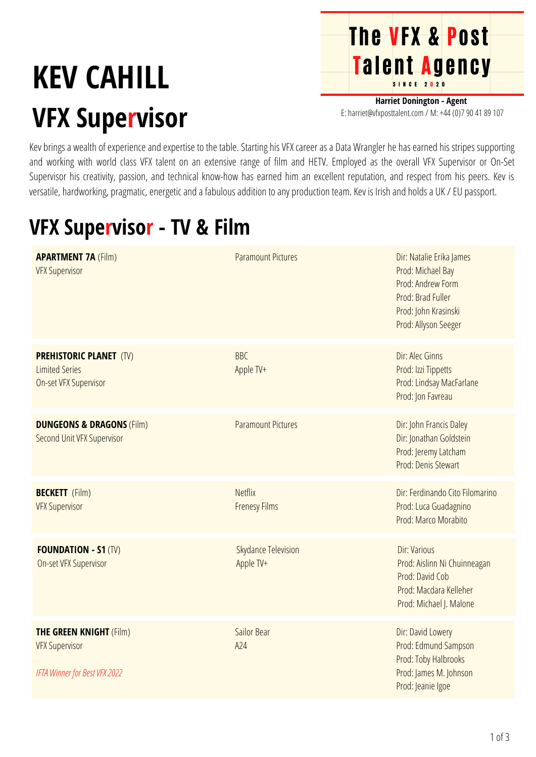## **KEV CAHILL VFX Supervisor**



**Harriet Donington - Agent** E: harriet@vfxposttalent.com / M:+44(0)7904189107

Kev brings a wealth of experience and expertise to the table. Starting his VFX career as a Data Wrangler he has earned his stripes supporting and working with world class VFX talent on an extensive range of film and HETV. Employed as the overall VFX Supervisor or On-Set Supervisor his creativity, passion, and technical know-how has earned him an excellent reputation, and respect from his peers. Kev is versatile, hardworking, pragmatic, energetic and a fabulous addition to any production team. Kev is Irish and holds a UK / EU passport.

## **VFX Supervisor - TV & Film**

| <b>APARTMENT 7A (Film)</b><br><b>VFX Supervisor</b>                                      | <b>Paramount Pictures</b>               | Dir: Natalie Erika James<br>Prod: Michael Bay<br>Prod: Andrew Form<br>Prod: Brad Fuller<br>Prod: John Krasinski<br>Prod: Allyson Seeger |
|------------------------------------------------------------------------------------------|-----------------------------------------|-----------------------------------------------------------------------------------------------------------------------------------------|
| <b>PREHISTORIC PLANET (TV)</b><br><b>Limited Series</b><br><b>On-set VFX Supervisor</b>  | <b>BBC</b><br>Apple TV+                 | Dir: Alec Ginns<br>Prod: Izzi Tippetts<br>Prod: Lindsay MacFarlane<br>Prod: Jon Favreau                                                 |
| <b>DUNGEONS &amp; DRAGONS (Film)</b><br>Second Unit VFX Supervisor                       | <b>Paramount Pictures</b>               | Dir: John Francis Daley<br>Dir: Jonathan Goldstein<br>Prod: Jeremy Latcham<br>Prod: Denis Stewart                                       |
| <b>BECKETT</b> (Film)<br><b>VFX Supervisor</b>                                           | <b>Netflix</b><br><b>Frenesy Films</b>  | Dir: Ferdinando Cito Filomarino<br>Prod: Luca Guadagnino<br>Prod: Marco Morabito                                                        |
| <b>FOUNDATION - S1 (TV)</b><br><b>On-set VFX Supervisor</b>                              | <b>Skydance Television</b><br>Apple TV+ | Dir: Various<br>Prod: Aislinn Ni Chuinneagan<br>Prod: David Cob<br>Prod: Macdara Kelleher<br>Prod: Michael J. Malone                    |
| <b>THE GREEN KNIGHT (Film)</b><br><b>VFX Supervisor</b><br>IFTA Winner for Best VFX 2022 | Sailor Bear<br>A24                      | Dir: David Lowery<br>Prod: Edmund Sampson<br>Prod: Toby Halbrooks<br>Prod: James M. Johnson<br>Prod: Jeanie Igoe                        |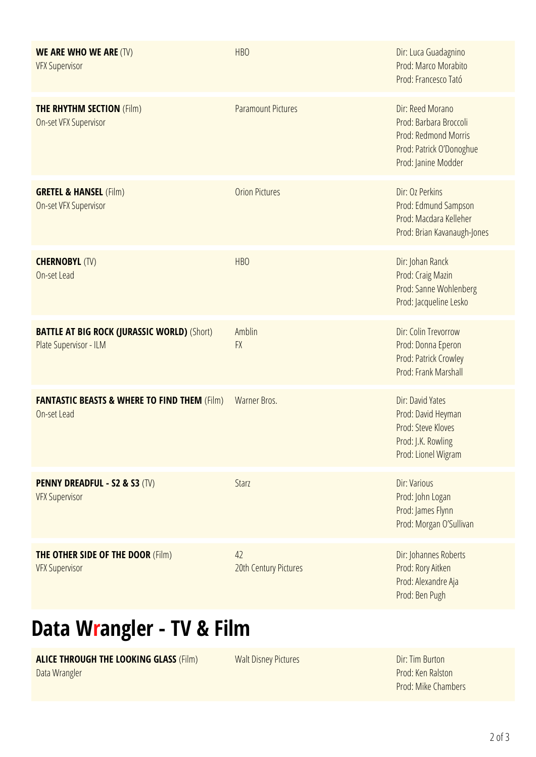| <b>WE ARE WHO WE ARE (TV)</b><br><b>VFX Supervisor</b>                       | <b>HBO</b>                  | Dir: Luca Guadagnino<br>Prod: Marco Morabito<br>Prod: Francesco Tató                                                  |
|------------------------------------------------------------------------------|-----------------------------|-----------------------------------------------------------------------------------------------------------------------|
| <b>THE RHYTHM SECTION (Film)</b><br>On-set VFX Supervisor                    | <b>Paramount Pictures</b>   | Dir: Reed Morano<br>Prod: Barbara Broccoli<br>Prod: Redmond Morris<br>Prod: Patrick O'Donoghue<br>Prod: Janine Modder |
| <b>GRETEL &amp; HANSEL (Film)</b><br>On-set VFX Supervisor                   | <b>Orion Pictures</b>       | Dir: Oz Perkins<br>Prod: Edmund Sampson<br>Prod: Macdara Kelleher<br>Prod: Brian Kavanaugh-Jones                      |
| <b>CHERNOBYL (TV)</b><br>On-set Lead                                         | <b>HBO</b>                  | Dir: Johan Ranck<br>Prod: Craig Mazin<br>Prod: Sanne Wohlenberg<br>Prod: Jacqueline Lesko                             |
| <b>BATTLE AT BIG ROCK (JURASSIC WORLD) (Short)</b><br>Plate Supervisor - ILM | Amblin<br><b>FX</b>         | Dir: Colin Trevorrow<br>Prod: Donna Eperon<br>Prod: Patrick Crowley<br>Prod: Frank Marshall                           |
| <b>FANTASTIC BEASTS &amp; WHERE TO FIND THEM (Film)</b><br>On-set Lead       | Warner Bros.                | Dir: David Yates<br>Prod: David Heyman<br>Prod: Steve Kloves<br>Prod: J.K. Rowling<br>Prod: Lionel Wigram             |
| <b>PENNY DREADFUL - S2 &amp; S3 (TV)</b><br><b>VFX Supervisor</b>            | Starz                       | Dir: Various<br>Prod: John Logan<br>Prod: James Flynn<br>Prod: Morgan O'Sullivan                                      |
| <b>THE OTHER SIDE OF THE DOOR (Film)</b><br><b>VFX Supervisor</b>            | 42<br>20th Century Pictures | Dir: Johannes Roberts<br>Prod: Rory Aitken<br>Prod: Alexandre Aja<br>Prod: Ben Pugh                                   |

## **Data Wrangler - TV & Film**

**ALICE THROUGH THE LOOKING GLASS** (Film) Data Wrangler

Walt Disney Pictures **Direct Except Containers** Dir: Tim Burton

Prod: Ken Ralston Prod: Mike Chambers